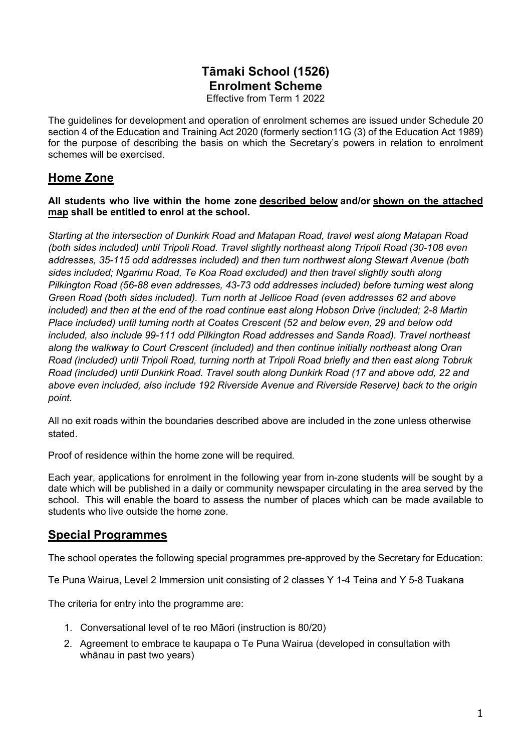# **Tāmaki School (1526) Enrolment Scheme**

Effective from Term 1 2022

The guidelines for development and operation of enrolment schemes are issued under Schedule 20 section 4 of the Education and Training Act 2020 (formerly section11G (3) of the Education Act 1989) for the purpose of describing the basis on which the Secretary's powers in relation to enrolment schemes will be exercised.

## **Home Zone**

**All students who live within the home zone described below and/or shown on the attached map shall be entitled to enrol at the school.**

*Starting at the intersection of Dunkirk Road and Matapan Road, travel west along Matapan Road (both sides included) until Tripoli Road. Travel slightly northeast along Tripoli Road (30-108 even addresses, 35-115 odd addresses included) and then turn northwest along Stewart Avenue (both sides included; Ngarimu Road, Te Koa Road excluded) and then travel slightly south along Pilkington Road (56-88 even addresses, 43-73 odd addresses included) before turning west along Green Road (both sides included). Turn north at Jellicoe Road (even addresses 62 and above included) and then at the end of the road continue east along Hobson Drive (included; 2-8 Martin Place included) until turning north at Coates Crescent (52 and below even, 29 and below odd included, also include 99-111 odd Pilkington Road addresses and Sanda Road). Travel northeast along the walkway to Court Crescent (included) and then continue initially northeast along Oran Road (included) until Tripoli Road, turning north at Tripoli Road briefly and then east along Tobruk Road (included) until Dunkirk Road. Travel south along Dunkirk Road (17 and above odd, 22 and above even included, also include 192 Riverside Avenue and Riverside Reserve) back to the origin point.*

All no exit roads within the boundaries described above are included in the zone unless otherwise stated.

Proof of residence within the home zone will be required*.*

Each year, applications for enrolment in the following year from in-zone students will be sought by a date which will be published in a daily or community newspaper circulating in the area served by the school. This will enable the board to assess the number of places which can be made available to students who live outside the home zone.

### **Special Programmes**

The school operates the following special programmes pre-approved by the Secretary for Education:

Te Puna Wairua, Level 2 Immersion unit consisting of 2 classes Y 1-4 Teina and Y 5-8 Tuakana

The criteria for entry into the programme are:

- 1. Conversational level of te reo Māori (instruction is 80/20)
- 2. Agreement to embrace te kaupapa o Te Puna Wairua (developed in consultation with whānau in past two years)